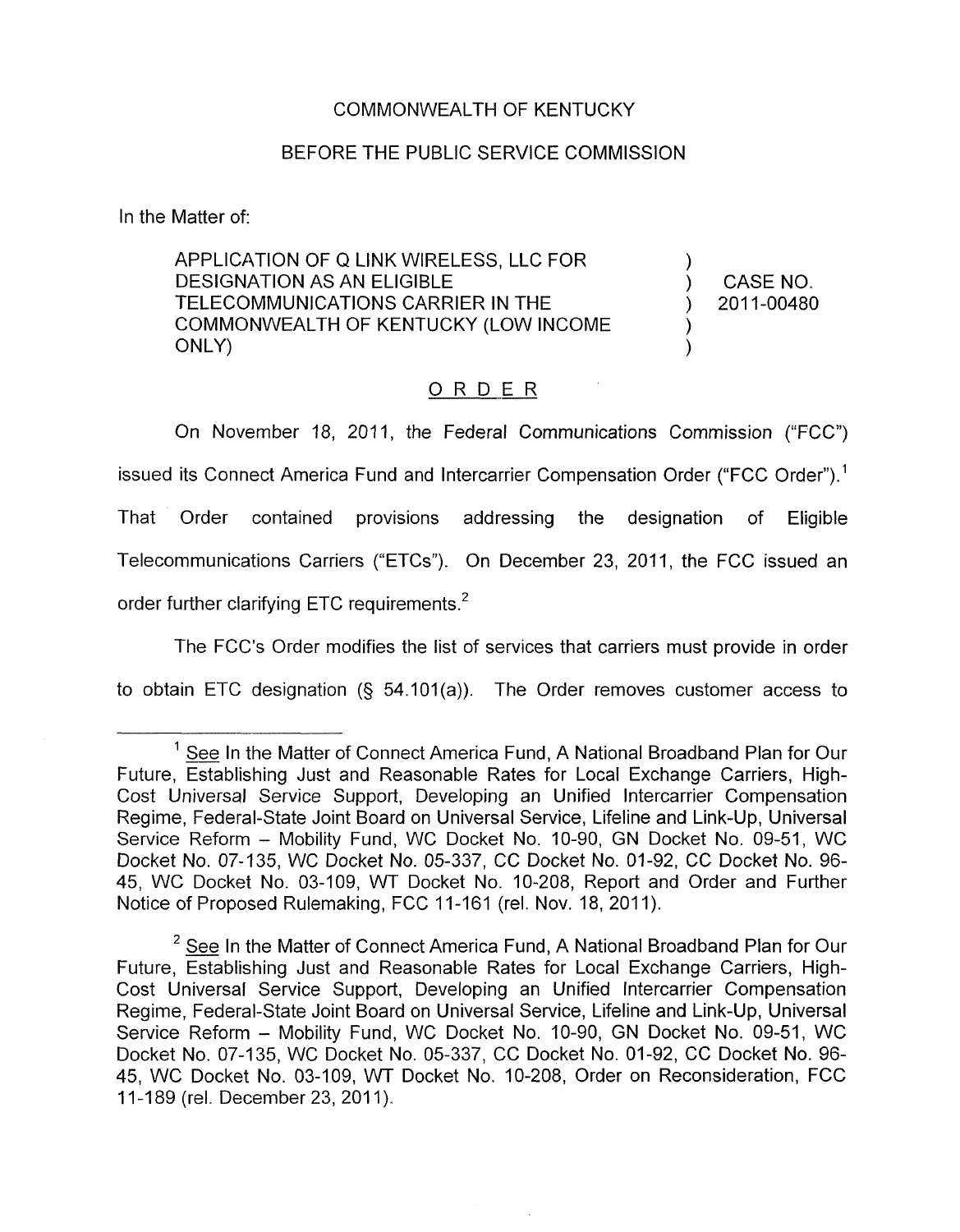## COMMONWEALTH OF KENTUCKY

## BEFORE THE PUBLIC SERVICE COMMISSION

In the Matter of:

APPLICATION OF Q LINK WIRELESS, LLC FOR ) DESIGNATION AS AN ELIGIBLE ) CASENO. TELECOMMUNICATIONS CARRIER IN THE<br>COMMONWEALTH OF KENTUCKY (LOW INCOME )<br>ONLY) ONLY) ) TELECOMMUNICATIONS CARRIER IN THE ) 2011-00480

## ORDER

On November 18, 2011, the Federal Communications Commission ("FCC") issued its Connect America Fund and Intercarrier Compensation Order ("FCC Order"). ' That Order contained provisions addressing the designation of Eligible Telecommunications Carriers ("ETCs"). On December 23, 2011, the FCC issued an order further clarifying ETC requirements.<sup>2</sup>

The FCC's Order modifies the list of services that carriers must provide in order

to obtain ETC designation (§ 54.101(a)). The Order removes customer access to

 $1$  See In the Matter of Connect America Fund, A National Broadband Plan for Our Future, Establishing Just and Reasonable Rates for Local Exchange Carriers, High-Cost Universal Service Support, Developing an Unified Intercarrier Compensation Regime, Federal-State Joint Board on Universal Service, Lifeline and Link-Up, Universal Service Reform - Mobility Fund, WC Docket No. 10-90, GN Docket No. 09-51, WC Docket No. 07-135, WC Docket No. 05-337, CC Docket No. 01-92, CC Docket No. 96- 45, WC Docket No. 03-109, WT Docket No. 10-208, Report and Order and Further Notice of Proposed Rulemaking, FCC 11-161 (rel. Nov. 18, 2011).

<sup>&</sup>lt;sup>2</sup> See In the Matter of Connect America Fund, A National Broadband Plan for Our Future, Establishing Just and Reasonable Rates for Local Exchange Carriers, High-Cost Universal Service Support, Developing an Unified Intercarrier Compensation Regime, Federal-State Joint Board on Universal Service, Lifeline and Link-Up, Universal Service Reform - Mobility Fund, WC Docket No. 10-90, GN Docket No. 09-51, WC Docket No. 07-135, WC Docket No. 05-337, CC Docket No. 01-92, CC Docket No. 96- 45, WC Docket No. 03-109, WT Docket No. 10-208, Order on Reconsideration, FCC 11-189 (rel. December 23, 2011).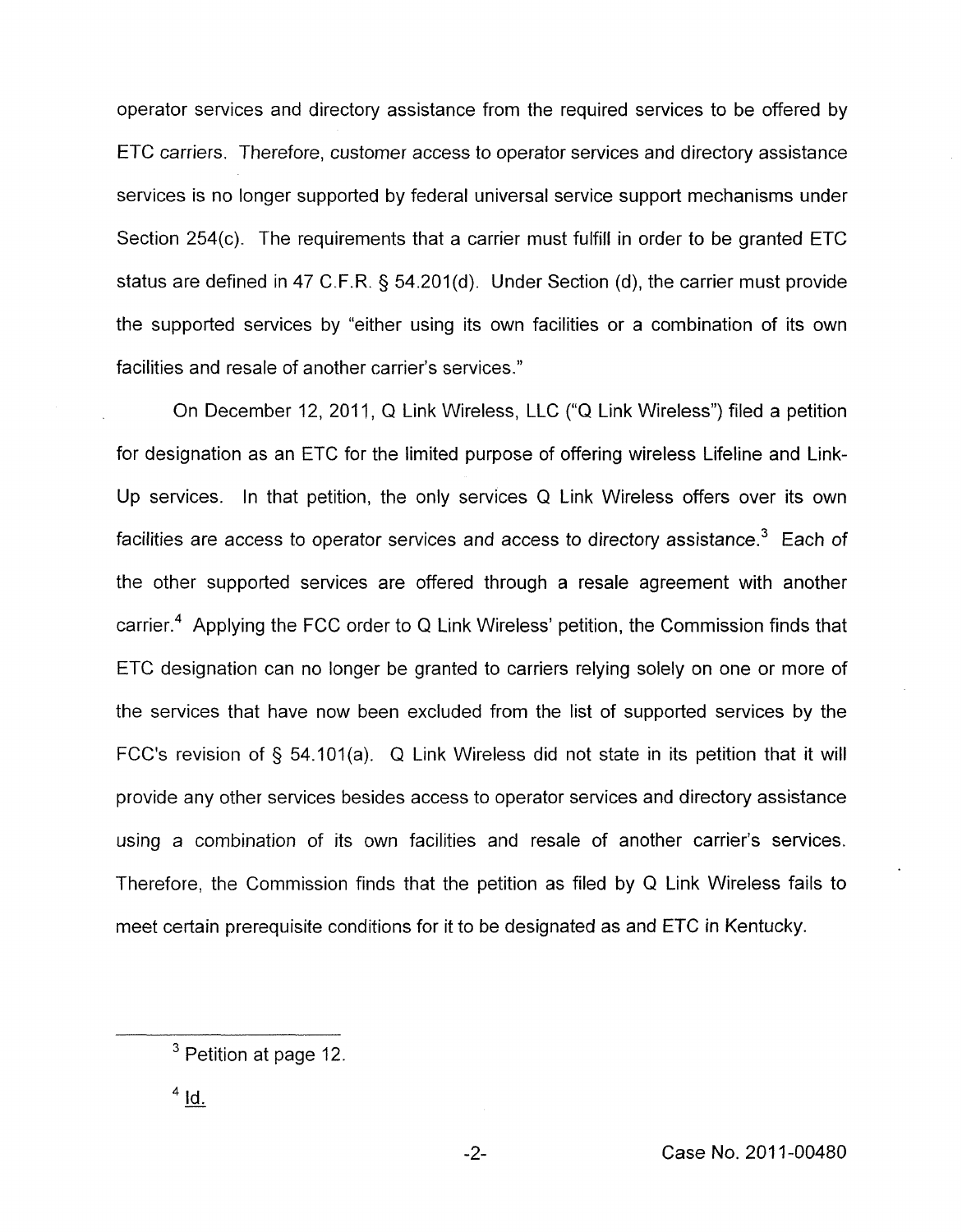operator services and directory assistance from the required services to be offered by ETC carriers. Therefore, customer access to operator services and directory assistance services is no longer supported by federal universal service support mechanisms under Section 254(c). The requirements that a carrier must fulfill in order to be granted ETC status are defined in 47 C.F.R. § 54.201(d). Under Section (d), the carrier must provide the supported services by "either using its own facilities or a combination of its own facilities and resale of another carrier's services."

On December 12, 2011, Q Link Wireless, LLC ("Q Link Wireless") filed a petition for designation as an ETC for the limited purpose of offering wireless Lifeline and Link-Up services. In that petition, the only services Q Link Wireless offers over its own facilities are access to operator services and access to directory assistance.<sup>3</sup> Each of the other supported services are offered through a resale agreement with another carrier. $4$  Applying the FCC order to Q Link Wireless' petition, the Commission finds that ETC designation can no longer be granted to carriers relying solely on one or more of the services that have now been excluded from the list of supported services by the FCC's revision of § 54.101(a). Q Link Wireless did not state in its petition that it will provide any other services besides access to operator services and directory assistance using a combination of its own facilities and resale of another carrier's services. Therefore, the Commission finds that the petition as filed by Q Link Wireless fails to meet certain prerequisite conditions for it to be designated as and ETC in Kentucky.

Petition at page 12.<br><u>Id.</u>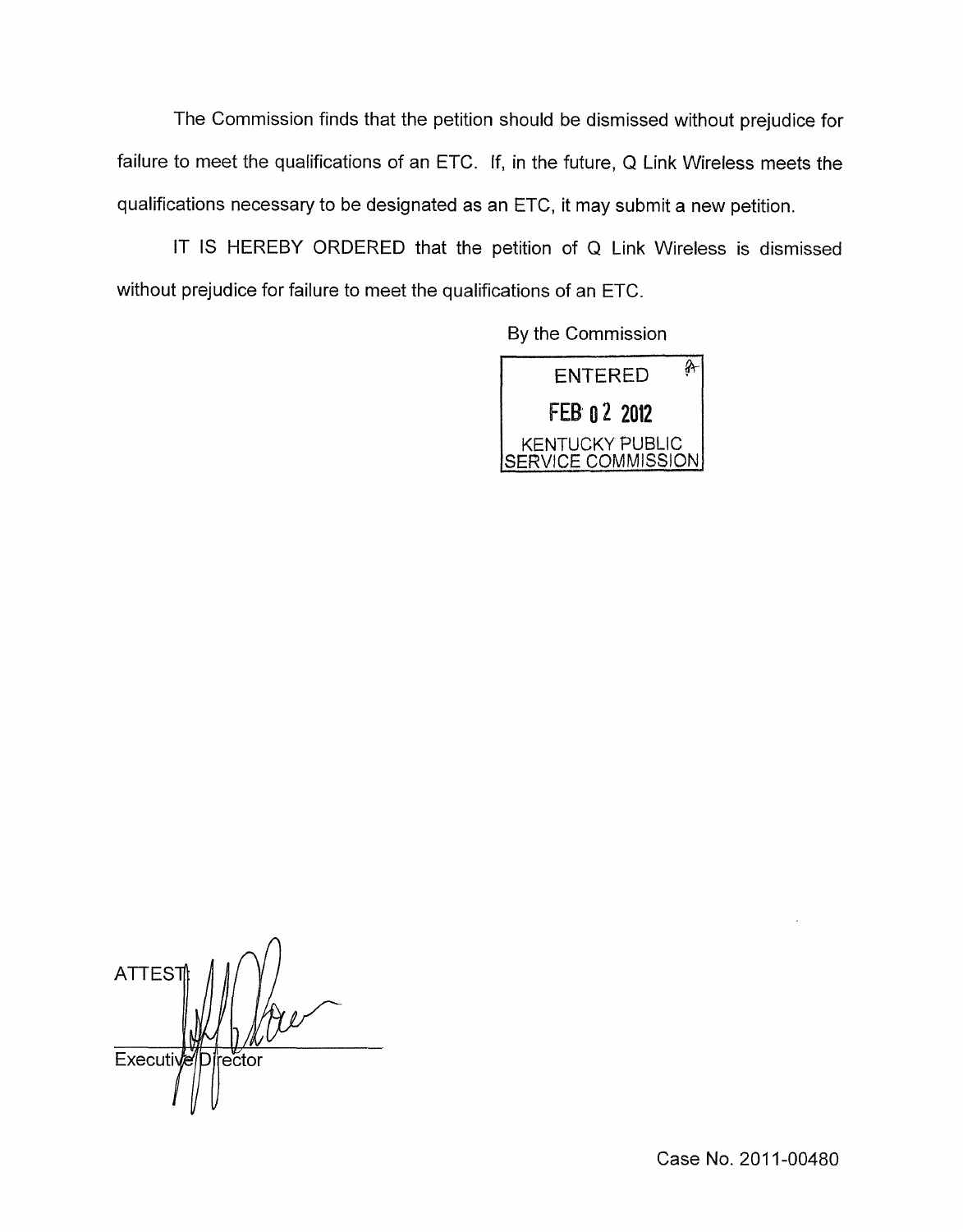The Commission finds that the petition should be dismissed without prejudice for failure to meet the qualifications of an ETC. If, in the future, Q Link Wireless meets the qualifications necessary to be designated as an ETC, it may submit a new petition.

IT IS HEREBY ORDERED that the petition of Q Link Wireless is dismissed without prejudice for failure to meet the qualifications of an ETC.

By the Commission



**ATTES Executi** irector